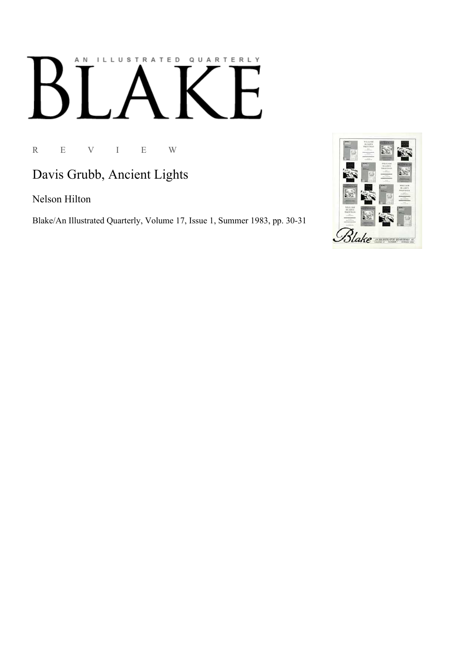## AN ILLUSTRATED QUARTERLY

R E V I E W

Davis Grubb, Ancient Lights

Nelson Hilton

Blake/An Illustrated Quarterly, Volume 17, Issue 1, Summer 1983, pp. 30-31

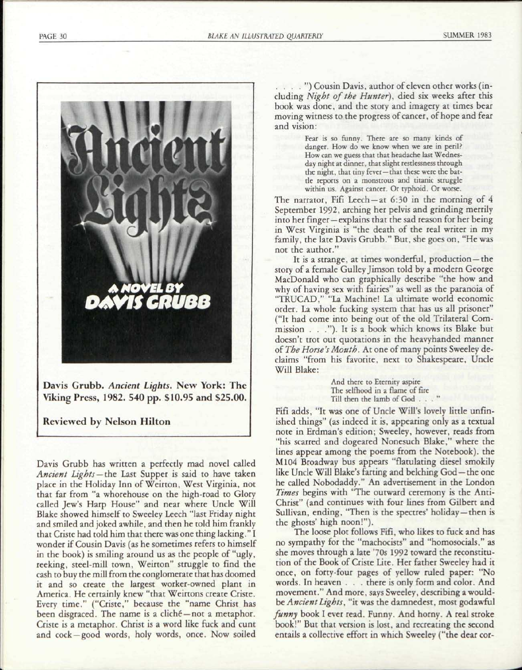PAGE 30 *BLAKE AN ILLUSTRATED QUARTERLY* SUMMER 1983



**Reviewed by Nelson Hilton** 

Davis Grubb has written a perfectly mad novel called *Ancient Lights —the* Last Supper is said to have taken place in the Holiday Inn of Weirton, West Virginia, not that far from "a whorehouse on the high-road to Glory called Jew's Harp House" and near where Uncle Will Blake showed himself to Sweeley Leech "last Friday night and smiled and joked awhile, and then he told him frankly that Criste had told him that there was one thing lacking." I wonder if Cousin Davis (as he sometimes refers to himself in the book) is smiling around us as the people of "ugly, reeking, steel-mill town, Weirton" struggle to find the cash to buy the mill from the conglomerate that has doomed it and so create the largest worker-owned plant in America. He certainly knew "that Weirtons create Criste. Every time." ("Criste," because the "name Christ has been disgraced. The name is a cliché – not a metaphor. Criste is a metaphor. Christ is a word like fuck and cunt and cock —good words, holy words, once. Now soiled

. . . ." ) Cousin Davis, author of eleven other works (including *Night of the Hunter),* died six weeks after this book was done, and the story and imagery at times bear moving witness to the progress of cancer, of hope and fear and vision:

> Fear is so funny. There are so many kinds of danger. How do we know when we are in peril? How can we guess that that headache last Wednesday night at dinner, that slight restlessness through the night, that tiny fever —that these were the battle reports on a monstrous and titanic struggle within us. Against cancer. Or typhoid. Or worse.

The narrator, Fifi Leech —at 6:30 in the morning of 4 September 1992, arching her pelvis and grinding merrily into her finger — explains that the sad reason for her being in West Virginia is "the death of the real writer in my family, the late Davis Grubb." But, she goes on, "He was not the author."

It is a strange, at times wonderful, production —the story of a female Gulley Jimson told by a modern George MacDonald who can graphically describe "the how and why of having sex with fairies" as well as the paranoia of "TRUCAD," "La Machine! La ultimate world economic order. La whole fucking system that has us all prisoner" ("It had come into being out of the old Trilateral Commission . . ."). It is a book which knows its Blake but doesn't trot out quotations in the heavyhanded manner of *The Horse's Mouth.* At one of many points Sweeley declaims "from his favorite, next to Shakespeare, Uncle Will Blake:

> And there to Eternity aspire The selfhood in a flame of fire Till then the lamb of God ... "

Fifi adds, "It was one of Uncle Will's lovely little unfinished things" (as indeed it is, appearing only as a textual note in Erdman's edition; Sweeley, however, reads from "his scarred and dogeared Nonesuch Blake," where the lines appear among the poems from the Notebook), the M104 Broadway bus appears "flatulating diesel smokily like Uncle Will Blake's farting and belching God — the one he called Nobodaddy." An advertisement in the London *Times* begins with "The outward ceremony is the Anti-Christ" (and continues with four lines from Gilbert and Sullivan, ending, "Then is the spectres' holiday —then is the ghosts' high noon!").

The loose plot follows Fifi, who likes to fuck and has no sympathy for the "machocists" and "homosocials," as she moves through a late '70s 1992 toward the reconstitution of the Book of Criste Lite. Her father Sweeley had it once, on forty-four pages of yellow ruled paper: "No words. In heaven . . . there is only form and color. And movement." And more, says Sweeley, describing a wouldbe *Ancient Lights*, "it was the damnedest, most godawful *funny* book I ever read. Funny. And horny. A real stroke book!" But that version is lost, and recreating the second entails a collective effort in which Sweeley ("the dear cor-